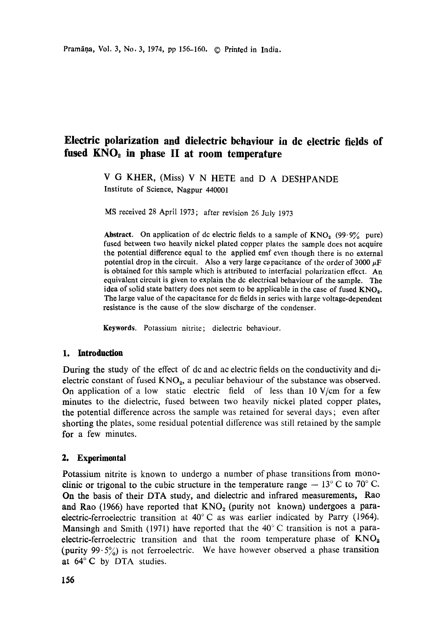# Electric **polarization and dielectric behaviour in de electric fields** of fused KNO<sub>2</sub> in phase II at room temperature

V G KHER, (Miss) V N HETE and D A DESHPANDE Institute of Science, Nagpur 440001

MS received 28 April i973; after revision 26 July 1973

**Abstract.** On application of dc electric fields to a sample of  $KNO<sub>2</sub>$  (99.9% pure) fused between two heavily nickel plated copper plates the sample does not acquire the potential difference equal to the applied emf even though there is no external potential drop in the circuit. Also a very large capacitance of the order of 3000  $\mu$ F is obtained for this sample which is attributed to interfacial polarization effect. An equivalent circuit is given to explain the dc electrical behaviour of the sample. The idea of solid state battery does not seem to be applicable in the case of fused  $KNO<sub>2</sub>$ . The large value of the capacitance for dc fields in series with large voltage-dependent resistance is the cause of the slow discharge of the condenser.

**Keywords.** Potassium nitrite; dielectric behaviour.

## **1. Introduction**

During the study of the effect of dc and ac electric fields on the conductivity and dielectric constant of fused  $KNO_2$ , a peculiar behaviour of the substance was observed. On application of a low static electric field of less than  $10 \text{ V/cm}$  for a few minutes to the dielectric, fused between two heavily nickel plated copper plates, the potential difference across the sample was retained for several days; even after shorting the plates, some residual potential difference was still retained by the sample for a few minutes.

## **2. Experimental**

Potassium nitrite is known to undergo a number of phase transitions from monoclinic or trigonal to the cubic structure in the temperature range  $-13^{\circ}$  C to 70° C. On the basis of their DTA study, and dielectric and infrared measurements, Rap and Rao (1966) have reported that  $KNO<sub>2</sub>$  (purity not known) undergoes a paraelectric-ferroelectric transition at 40°C as was earlier indicated by Parry (1964). Mansingh and Smith (1971) have reported that the 40°C transition is not a paraelectric-ferroelectric transition and that the room temperature phase of  $KNO_2$ (purity  $99.5\%$ ) is not ferroelectric. We have however observed a phase transition at 64°C by DTA studies.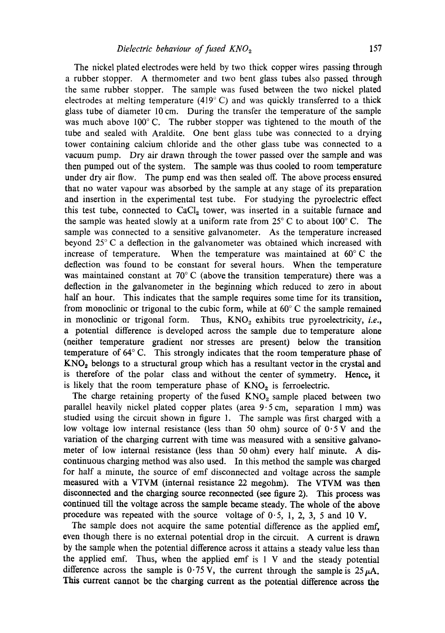The nickel plated electrodes were held by two thick copper wires passing through a rubber stopper. A thermometer and two bent glass tubes also passed through the same rubber stopper. The sample was fused between the two nickel plated electrodes at melting temperature  $(419^{\circ} \text{ C})$  and was quickly transferred to a thick glass tube of diameter 10 cm. During the transfer the temperature of the sample was much above  $100^{\circ}$  C. The rubber stopper was tightened to the mouth of the tube and sealed with Araldite. One bent glass tube was connected to a drying tower containing calcium chloride and the other glass tube was connected to a vacuum pump. Dry air drawn through the tower passed over the sample and was then pumped out of the system. The sample was thus cooled to room temperature under dry air flow. The pump end was then sealed off. The above process ensured that no water vapour was absorbed by the sample at any stage of its preparation and insertion in the experimental test tube. For studying the pyroelectric effect this test tube, connected to  $CaCl<sub>2</sub>$  tower, was inserted in a suitable furnace and the sample was heated slowly at a uniform rate from  $25^{\circ}$  C to about 100 $^{\circ}$  C. The sample was connected to a sensitive galvanometer. As the temperature increased beyond 25°C a deflection in the galvanometer was obtained which increased with increase of temperature. When the temperature was maintained at  $60^{\circ}$ C the deflection was found to be constant for several hours. When the temperature was maintained constant at  $70^{\circ}$  C (above the transition temperature) there was a deflection in the galvanometer in the beginning which reduced to zero in about half an hour. This indicates that the sample requires some time for its transition, from monoclinic or trigonal to the cubic form, while at  $60^{\circ}$  C the sample remained in monoclinic or trigonal form. Thus, KNO<sub>2</sub> exhibits true pyroelectricity, *i.e.*, a potential difference is developed across the sample due to temperature alone (neither temperature gradient nor stresses are present) below the transition temperature of  $64^{\circ}$  C. This strongly indicates that the room temperature phase of  $KNO<sub>2</sub>$  belongs to a structural group which has a resultant vector in the crystal and is therefore of the polar class and without the center of symmetry. Hence, it is likely that the room temperature phase of  $KNO<sub>2</sub>$  is ferroelectric.

The charge retaining property of the fused  $KNO<sub>2</sub>$  sample placed between two parallel heavily nickel plated copper plates (area 9.5 cm, separation 1 mm) was studied using the circuit shown in figure 1. The sample was first charged with a low voltage low internal resistance (less than 50 ohm) source of  $0.5$  V and the variation of the charging current with time was measured with a sensitive galvanometer of low internal resistance (less than 50 ohm) every half minute. A discontinuous charging method was also used. In this method the sample was charged for half a minute, the source of emf disconnected and voltage across the sample measured with a VTVM (internal resistance 22 megohm). The VTVM was then disconnected and the charging source reconnected (see figure 2). This process was continued till the voltage across the sample became steady. The whole of the above procedure was repeated with the source voltage of  $0.5$ , 1, 2, 3, 5 and 10 V.

The sample does not acquire the same potential difference as the applied emf, even though there is no external potential drop in the circuit. A current is drawn by the sample when the potential difference across it attains a steady value less than the applied emf. Thus, when the applied emf is 1 V and the steady potential difference across the sample is  $0.75$  V, the current through the sample is  $25 \mu A$ . This current cannot be the charging current as the potential difference across the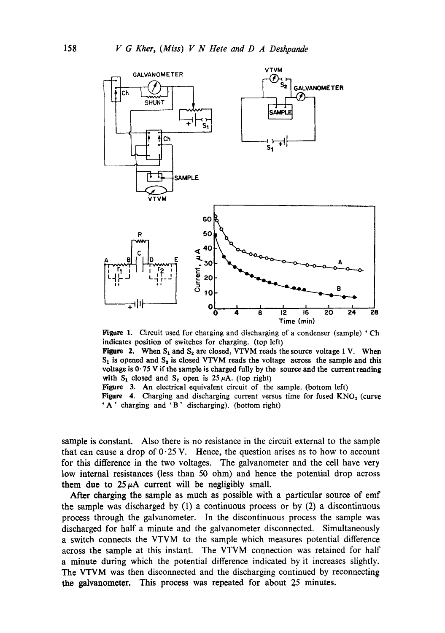

Figure 1. Circuit used for charging and discharging of a condenser (sample) ' Ch indicates position of switches for charging. (top left)

Figure 2. When  $S_1$  and  $S_2$  are closed, VTVM reads the source voltage 1 V. When  $S_1$  is opened and  $S_2$  is closed VTVM reads the voltage across the sample and this voltage is  $0.75$  V if the sample is charged fully by the source and the current reading with  $S_1$  closed and  $S_2$  open is 25  $\mu$ A. (top right)

Figure 3. An electrical equivalent circuit of the sample. (bottom left)

Figure 4. Charging and discharging current versus time for fused  $KNO<sub>2</sub>$  (curve "A' charging and 'B' discharging). (bottom right)

sample is constant. Also there is no resistance in the circuit external to the sample that can cause a drop of  $0.25$  V. Hence, the question arises as to how to account for this difference in the two voltages. The galvanometer and the cell have very low internal resistances (less than 50 ohm) and hence the potential drop across them due to  $25 \mu A$  current will be negligibly small.

After charging the sample as much as possible with a particular source of emf the sample was discharged by (1) a continuous process or by (2) a discontinuous process through the galvanometer. In the discontinuous process the sample was discharged for half a minute and the galvanometer disconnected. Simultaneously a switch connects the VTVM to the sample which measures potential difference across the sample at this instant. The VTVM connection was retained for half a minute during which the potential difference indicated by it increases slightly. The VTVM was then disconnected and the discharging continued by reconnecting the galvanometer. This process was repeated for about 25 minutes.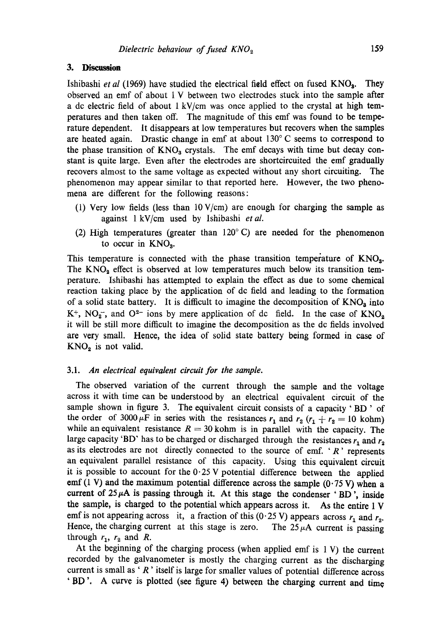#### **3. Discussion**

Ishibashi *et al* (1969) have studied the electrical field effect on fused KNO<sub>3</sub>. They observed an emf of about 1 V between two electrodes stuck into the sample after a dc electric field of about I kV/cm was once applied to the crystal at high temperatures and then taken off. The magnitude of this emf was found to be temperature dependent. It disappears at low temperatures but recovers when the samples are heated again. Drastic change in emf at about  $130^{\circ}$  C seems to correspond to the phase transition of  $KNO<sub>3</sub>$  crystals. The emf decays with time but decay constant is quite large. Even after the electrodes are shortcircuited the emf gradually recovers almost to the same voltage as expected without any short circuiting. The phenomenon may appear similar to that reported here. However, the two phenomena are different for the following reasons:

- (1) Very low fields (less than  $10 \text{ V/cm}$ ) are enough for charging the sample as against 1 kV/cm used by Ishibashi *etal.*
- (2) High temperatures (greater than  $120^{\circ}$  C) are needed for the phenomenon to occur in  $KNO<sub>3</sub>$ .

This temperature is connected with the phase transition temperature of KNOa. The  $KNO<sub>2</sub>$  effect is observed at low temperatures much below its transition temperature. Ishibashi has attempted to explain the effect as due to some chemical reaction taking place by the application of dc field and leading to the formation of a solid state battery. It is difficult to imagine the decomposition of  $KNO<sub>a</sub>$  into  $K^+$ , NO<sub>2</sub><sup>-</sup>, and O<sup>2-</sup> ions by mere application of dc field. In the case of  $KNO<sub>2</sub>$ it will be still more difficult to imagine the decomposition as the dc fields involved are very small. Hence, the idea of solid state battery being formed in case of  $KNO<sub>2</sub>$  is not valid.

#### 3.1. *An electrical equivalent circuit for the sample.*

The observed variation of the current through the sample and the voltage across it with time can be understood by an electrical equivalent circuit of the sample shown in figure 3. The equivalent circuit consists of a capacity  $B$ D  $\prime$  of the order of 3000  $\mu$ F in series with the resistances  $r_1$  and  $r_2$  ( $r_1 + r_2 = 10$  kohm) while an equivalent resistance  $R = 30$  kohm is in parallel with the capacity. The large capacity 'BD' has to be charged or discharged through the resistances  $r_1$  and  $r_2$ as its electrodes are not directly connected to the source of emf. ' $R$ ' represents an equivalent parallel resistance of this capacity. Using this equivalent circuit it is possible to account for the  $0.25$  V potential difference between the applied emf (1 V) and the maximum potential difference across the sample  $(0.75 V)$  when a current of  $25~\mu$ A is passing through it. At this stage the condenser 'BD', inside the sample, is charged to the potential which appears across it. As the entire 1 V emf is not appearing across it, a fraction of this (0.25 V) appears across  $r_1$  and  $r_2$ . Hence, the charging current at this stage is zero. The  $25 \mu A$  current is passing through  $r_1$ ,  $r_2$  and R.

At the beginning of the charging process (when applied emf is 1 V) the current recorded by the galvanometer is mostly the charging current as the discharging current is small as ' $R$ ' itself is large for smaller values of potential difference across 'BD '. A curve is plotted (see figure 4) between the charging current and time